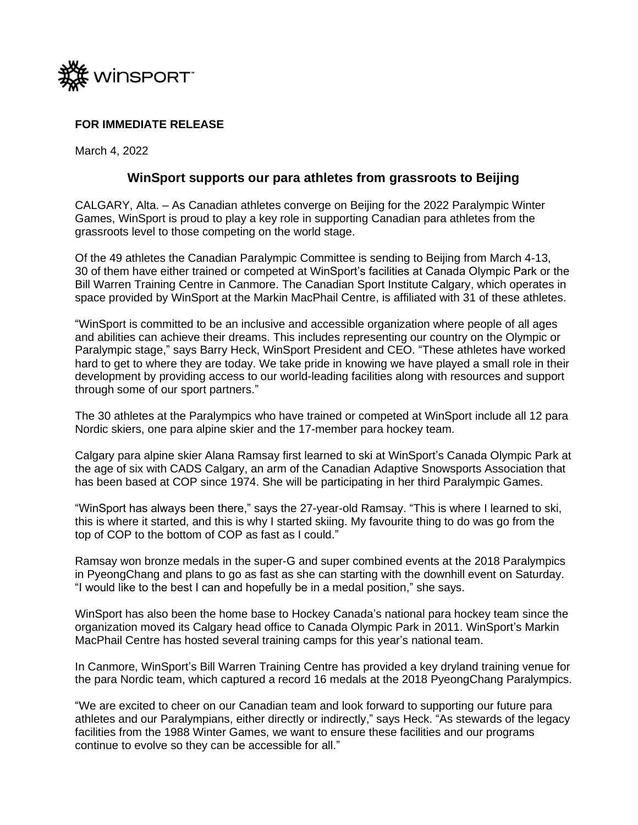

## **FOR IMMEDIATE RELEASE**

March 4, 2022

## **WinSport supports our para athletes from grassroots to Beijing**

CALGARY, Alta. – As Canadian athletes converge on Beijing for the 2022 Paralympic Winter Games, WinSport is proud to play a key role in supporting Canadian para athletes from the grassroots level to those competing on the world stage.

Of the 49 athletes the Canadian Paralympic Committee is sending to Beijing from March 4-13, 30 of them have either trained or competed at WinSport's facilities at Canada Olympic Park or the Bill Warren Training Centre in Canmore. The Canadian Sport Institute Calgary, which operates in space provided by WinSport at the Markin MacPhail Centre, is affiliated with 31 of these athletes.

"WinSport is committed to be an inclusive and accessible organization where people of all ages and abilities can achieve their dreams. This includes representing our country on the Olympic or Paralympic stage," says Barry Heck, WinSport President and CEO. "These athletes have worked hard to get to where they are today. We take pride in knowing we have played a small role in their development by providing access to our world-leading facilities along with resources and support through some of our sport partners."

The 30 athletes at the Paralympics who have trained or competed at WinSport include all 12 para Nordic skiers, one para alpine skier and the 17-member para hockey team.

Calgary para alpine skier Alana Ramsay first learned to ski at WinSport's Canada Olympic Park at the age of six with CADS Calgary, an arm of the Canadian Adaptive Snowsports Association that has been based at COP since 1974. She will be participating in her third Paralympic Games.

"WinSport has always been there," says the 27-year-old Ramsay. "This is where I learned to ski, this is where it started, and this is why I started skiing. My favourite thing to do was go from the top of COP to the bottom of COP as fast as I could."

Ramsay won bronze medals in the super-G and super combined events at the 2018 Paralympics in PyeongChang and plans to go as fast as she can starting with the downhill event on Saturday. "I would like to the best I can and hopefully be in a medal position," she says.

WinSport has also been the home base to Hockey Canada's national para hockey team since the organization moved its Calgary head office to Canada Olympic Park in 2011. WinSport's Markin MacPhail Centre has hosted several training camps for this year's national team.

In Canmore, WinSport's Bill Warren Training Centre has provided a key dryland training venue for the para Nordic team, which captured a record 16 medals at the 2018 PyeongChang Paralympics.

"We are excited to cheer on our Canadian team and look forward to supporting our future para athletes and our Paralympians, either directly or indirectly," says Heck. "As stewards of the legacy facilities from the 1988 Winter Games, we want to ensure these facilities and our programs continue to evolve so they can be accessible for all."